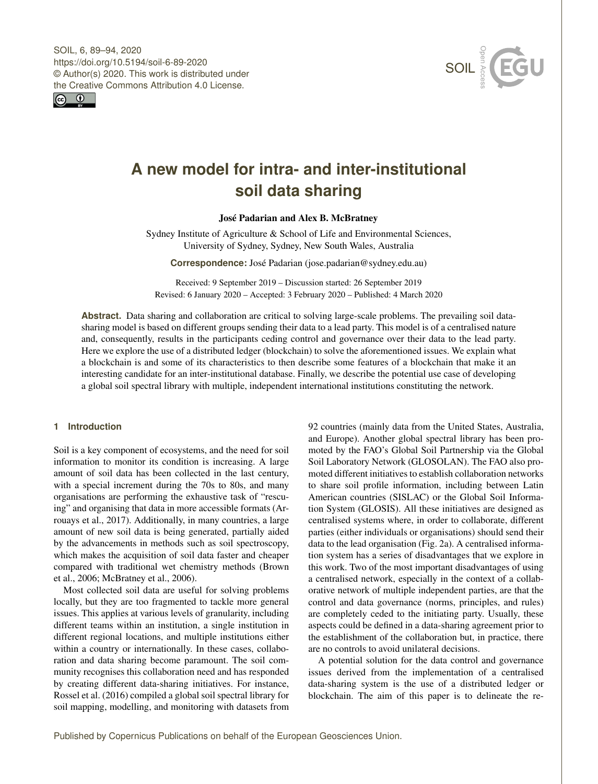



# **A new model for intra- and inter-institutional soil data sharing**

# José Padarian and Alex B. McBratney

Sydney Institute of Agriculture & School of Life and Environmental Sciences, University of Sydney, Sydney, New South Wales, Australia

**Correspondence:** José Padarian (jose.padarian@sydney.edu.au)

Received: 9 September 2019 – Discussion started: 26 September 2019 Revised: 6 January 2020 – Accepted: 3 February 2020 – Published: 4 March 2020

**Abstract.** Data sharing and collaboration are critical to solving large-scale problems. The prevailing soil datasharing model is based on different groups sending their data to a lead party. This model is of a centralised nature and, consequently, results in the participants ceding control and governance over their data to the lead party. Here we explore the use of a distributed ledger (blockchain) to solve the aforementioned issues. We explain what a blockchain is and some of its characteristics to then describe some features of a blockchain that make it an interesting candidate for an inter-institutional database. Finally, we describe the potential use case of developing a global soil spectral library with multiple, independent international institutions constituting the network.

# **1 Introduction**

Soil is a key component of ecosystems, and the need for soil information to monitor its condition is increasing. A large amount of soil data has been collected in the last century, with a special increment during the 70s to 80s, and many organisations are performing the exhaustive task of "rescuing" and organising that data in more accessible formats [\(Ar](#page-5-0)[rouays et al.,](#page-5-0) [2017\)](#page-5-0). Additionally, in many countries, a large amount of new soil data is being generated, partially aided by the advancements in methods such as soil spectroscopy, which makes the acquisition of soil data faster and cheaper compared with traditional wet chemistry methods [\(Brown](#page-5-1) [et al.,](#page-5-1) [2006;](#page-5-1) [McBratney et al.,](#page-5-2) [2006\)](#page-5-2).

Most collected soil data are useful for solving problems locally, but they are too fragmented to tackle more general issues. This applies at various levels of granularity, including different teams within an institution, a single institution in different regional locations, and multiple institutions either within a country or internationally. In these cases, collaboration and data sharing become paramount. The soil community recognises this collaboration need and has responded by creating different data-sharing initiatives. For instance, [Rossel et al.](#page-5-3) [\(2016\)](#page-5-3) compiled a global soil spectral library for soil mapping, modelling, and monitoring with datasets from

92 countries (mainly data from the United States, Australia, and Europe). Another global spectral library has been promoted by the FAO's Global Soil Partnership via the Global Soil Laboratory Network (GLOSOLAN). The FAO also promoted different initiatives to establish collaboration networks to share soil profile information, including between Latin American countries (SISLAC) or the Global Soil Information System (GLOSIS). All these initiatives are designed as centralised systems where, in order to collaborate, different parties (either individuals or organisations) should send their data to the lead organisation (Fig. [2a](#page-2-0)). A centralised information system has a series of disadvantages that we explore in this work. Two of the most important disadvantages of using a centralised network, especially in the context of a collaborative network of multiple independent parties, are that the control and data governance (norms, principles, and rules) are completely ceded to the initiating party. Usually, these aspects could be defined in a data-sharing agreement prior to the establishment of the collaboration but, in practice, there are no controls to avoid unilateral decisions.

A potential solution for the data control and governance issues derived from the implementation of a centralised data-sharing system is the use of a distributed ledger or blockchain. The aim of this paper is to delineate the re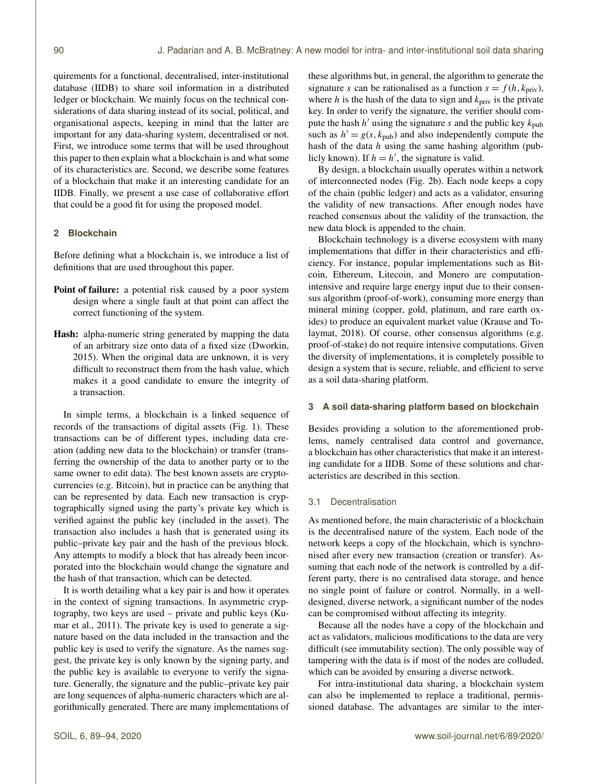quirements for a functional, decentralised, inter-institutional database (IIDB) to share soil information in a distributed ledger or blockchain. We mainly focus on the technical considerations of data sharing instead of its social, political, and organisational aspects, keeping in mind that the latter are important for any data-sharing system, decentralised or not. First, we introduce some terms that will be used throughout this paper to then explain what a blockchain is and what some of its characteristics are. Second, we describe some features of a blockchain that make it an interesting candidate for an IIDB. Finally, we present a use case of collaborative effort that could be a good fit for using the proposed model.

# **2 Blockchain**

Before defining what a blockchain is, we introduce a list of definitions that are used throughout this paper.

- Point of failure: a potential risk caused by a poor system design where a single fault at that point can affect the correct functioning of the system.
- Hash: alpha-numeric string generated by mapping the data of an arbitrary size onto data of a fixed size [\(Dworkin,](#page-5-4) [2015\)](#page-5-4). When the original data are unknown, it is very difficult to reconstruct them from the hash value, which makes it a good candidate to ensure the integrity of a transaction.

In simple terms, a blockchain is a linked sequence of records of the transactions of digital assets (Fig. [1\)](#page-2-1). These transactions can be of different types, including data creation (adding new data to the blockchain) or transfer (transferring the ownership of the data to another party or to the same owner to edit data). The best known assets are cryptocurrencies (e.g. Bitcoin), but in practice can be anything that can be represented by data. Each new transaction is cryptographically signed using the party's private key which is verified against the public key (included in the asset). The transaction also includes a hash that is generated using its public–private key pair and the hash of the previous block. Any attempts to modify a block that has already been incorporated into the blockchain would change the signature and the hash of that transaction, which can be detected.

It is worth detailing what a key pair is and how it operates in the context of signing transactions. In asymmetric cryptography, two keys are used – private and public keys [\(Ku](#page-5-5)[mar et al.,](#page-5-5) [2011\)](#page-5-5). The private key is used to generate a signature based on the data included in the transaction and the public key is used to verify the signature. As the names suggest, the private key is only known by the signing party, and the public key is available to everyone to verify the signature. Generally, the signature and the public–private key pair are long sequences of alpha-numeric characters which are algorithmically generated. There are many implementations of these algorithms but, in general, the algorithm to generate the signature s can be rationalised as a function  $s = f(h, k_{\text{priv}})$ , where h is the hash of the data to sign and  $k_{\text{priv}}$  is the private key. In order to verify the signature, the verifier should compute the hash  $h'$  using the signature s and the public key  $k_{\text{pub}}$ such as  $h' = g(s, k_{\text{pub}})$  and also independently compute the hash of the data  $h$  using the same hashing algorithm (publicly known). If  $h = h'$ , the signature is valid.

By design, a blockchain usually operates within a network of interconnected nodes (Fig. [2b](#page-2-0)). Each node keeps a copy of the chain (public ledger) and acts as a validator, ensuring the validity of new transactions. After enough nodes have reached consensus about the validity of the transaction, the new data block is appended to the chain.

Blockchain technology is a diverse ecosystem with many implementations that differ in their characteristics and efficiency. For instance, popular implementations such as Bitcoin, Ethereum, Litecoin, and Monero are computationintensive and require large energy input due to their consensus algorithm (proof-of-work), consuming more energy than mineral mining (copper, gold, platinum, and rare earth oxides) to produce an equivalent market value [\(Krause and To](#page-5-6)[laymat,](#page-5-6) [2018\)](#page-5-6). Of course, other consensus algorithms (e.g. proof-of-stake) do not require intensive computations. Given the diversity of implementations, it is completely possible to design a system that is secure, reliable, and efficient to serve as a soil data-sharing platform.

#### **3 A soil data-sharing platform based on blockchain**

Besides providing a solution to the aforementioned problems, namely centralised data control and governance, a blockchain has other characteristics that make it an interesting candidate for a IIDB. Some of these solutions and characteristics are described in this section.

### 3.1 Decentralisation

As mentioned before, the main characteristic of a blockchain is the decentralised nature of the system. Each node of the network keeps a copy of the blockchain, which is synchronised after every new transaction (creation or transfer). Assuming that each node of the network is controlled by a different party, there is no centralised data storage, and hence no single point of failure or control. Normally, in a welldesigned, diverse network, a significant number of the nodes can be compromised without affecting its integrity.

Because all the nodes have a copy of the blockchain and act as validators, malicious modifications to the data are very difficult (see immutability section). The only possible way of tampering with the data is if most of the nodes are colluded, which can be avoided by ensuring a diverse network.

For intra-institutional data sharing, a blockchain system can also be implemented to replace a traditional, permissioned database. The advantages are similar to the inter-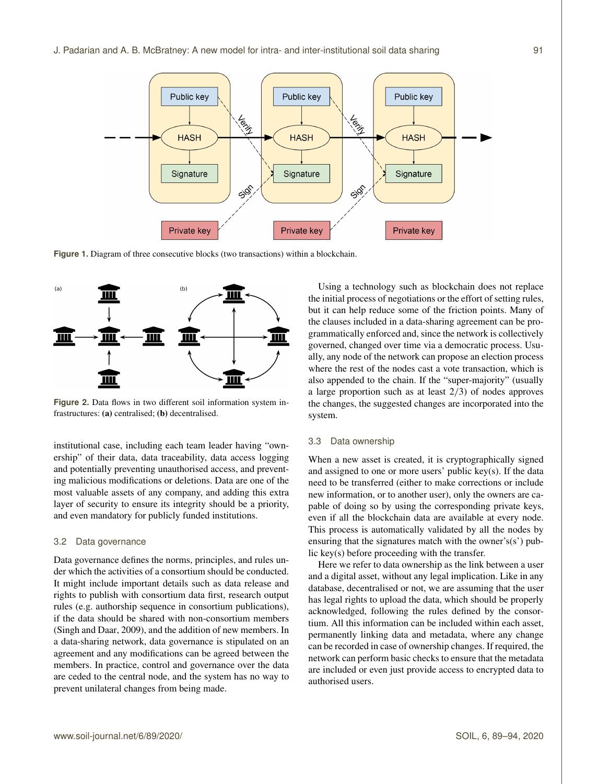<span id="page-2-1"></span>

Figure 1. Diagram of three consecutive blocks (two transactions) within a blockchain.

<span id="page-2-0"></span>

**Figure 2.** Data flows in two different soil information system infrastructures: (a) centralised; (b) decentralised.

institutional case, including each team leader having "ownership" of their data, data traceability, data access logging and potentially preventing unauthorised access, and preventing malicious modifications or deletions. Data are one of the most valuable assets of any company, and adding this extra layer of security to ensure its integrity should be a priority, and even mandatory for publicly funded institutions.

#### <span id="page-2-2"></span>3.2 Data governance

Data governance defines the norms, principles, and rules under which the activities of a consortium should be conducted. It might include important details such as data release and rights to publish with consortium data first, research output rules (e.g. authorship sequence in consortium publications), if the data should be shared with non-consortium members [\(Singh and Daar,](#page-5-7) [2009\)](#page-5-7), and the addition of new members. In a data-sharing network, data governance is stipulated on an agreement and any modifications can be agreed between the members. In practice, control and governance over the data are ceded to the central node, and the system has no way to prevent unilateral changes from being made.

Using a technology such as blockchain does not replace the initial process of negotiations or the effort of setting rules, but it can help reduce some of the friction points. Many of the clauses included in a data-sharing agreement can be programmatically enforced and, since the network is collectively governed, changed over time via a democratic process. Usually, any node of the network can propose an election process where the rest of the nodes cast a vote transaction, which is also appended to the chain. If the "super-majority" (usually a large proportion such as at least 2/3) of nodes approves the changes, the suggested changes are incorporated into the system.

## 3.3 Data ownership

When a new asset is created, it is cryptographically signed and assigned to one or more users' public key(s). If the data need to be transferred (either to make corrections or include new information, or to another user), only the owners are capable of doing so by using the corresponding private keys, even if all the blockchain data are available at every node. This process is automatically validated by all the nodes by ensuring that the signatures match with the owner's(s') public key(s) before proceeding with the transfer.

Here we refer to data ownership as the link between a user and a digital asset, without any legal implication. Like in any database, decentralised or not, we are assuming that the user has legal rights to upload the data, which should be properly acknowledged, following the rules defined by the consortium. All this information can be included within each asset, permanently linking data and metadata, where any change can be recorded in case of ownership changes. If required, the network can perform basic checks to ensure that the metadata are included or even just provide access to encrypted data to authorised users.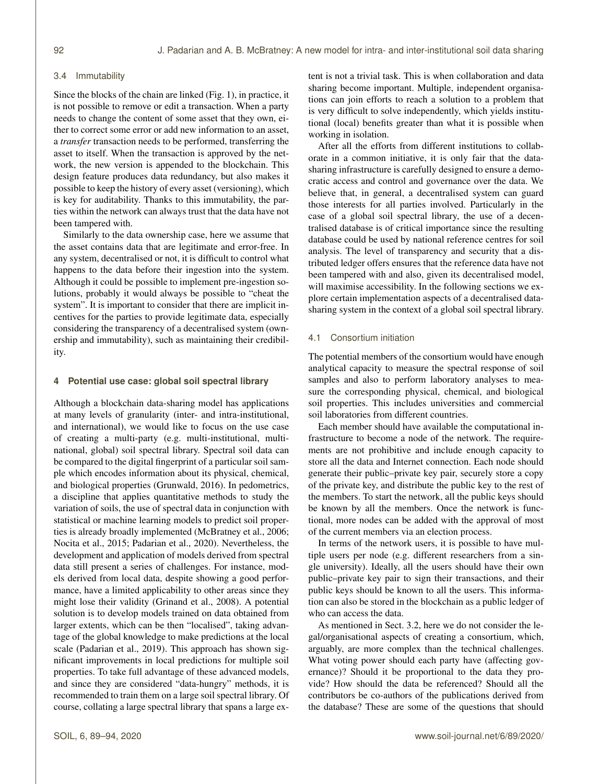## <span id="page-3-0"></span>3.4 Immutability

Since the blocks of the chain are linked (Fig. [1\)](#page-2-1), in practice, it is not possible to remove or edit a transaction. When a party needs to change the content of some asset that they own, either to correct some error or add new information to an asset, a *transfer* transaction needs to be performed, transferring the asset to itself. When the transaction is approved by the network, the new version is appended to the blockchain. This design feature produces data redundancy, but also makes it possible to keep the history of every asset (versioning), which is key for auditability. Thanks to this immutability, the parties within the network can always trust that the data have not been tampered with.

Similarly to the data ownership case, here we assume that the asset contains data that are legitimate and error-free. In any system, decentralised or not, it is difficult to control what happens to the data before their ingestion into the system. Although it could be possible to implement pre-ingestion solutions, probably it would always be possible to "cheat the system". It is important to consider that there are implicit incentives for the parties to provide legitimate data, especially considering the transparency of a decentralised system (ownership and immutability), such as maintaining their credibility.

# **4 Potential use case: global soil spectral library**

Although a blockchain data-sharing model has applications at many levels of granularity (inter- and intra-institutional, and international), we would like to focus on the use case of creating a multi-party (e.g. multi-institutional, multinational, global) soil spectral library. Spectral soil data can be compared to the digital fingerprint of a particular soil sample which encodes information about its physical, chemical, and biological properties [\(Grunwald,](#page-5-8) [2016\)](#page-5-8). In pedometrics, a discipline that applies quantitative methods to study the variation of soils, the use of spectral data in conjunction with statistical or machine learning models to predict soil properties is already broadly implemented [\(McBratney et al.,](#page-5-2) [2006;](#page-5-2) [Nocita et al.,](#page-5-9) [2015;](#page-5-9) [Padarian et al.,](#page-5-10) [2020\)](#page-5-10). Nevertheless, the development and application of models derived from spectral data still present a series of challenges. For instance, models derived from local data, despite showing a good performance, have a limited applicability to other areas since they might lose their validity [\(Grinand et al.,](#page-5-11) [2008\)](#page-5-11). A potential solution is to develop models trained on data obtained from larger extents, which can be then "localised", taking advantage of the global knowledge to make predictions at the local scale [\(Padarian et al.,](#page-5-12) [2019\)](#page-5-12). This approach has shown significant improvements in local predictions for multiple soil properties. To take full advantage of these advanced models, and since they are considered "data-hungry" methods, it is recommended to train them on a large soil spectral library. Of course, collating a large spectral library that spans a large extent is not a trivial task. This is when collaboration and data sharing become important. Multiple, independent organisations can join efforts to reach a solution to a problem that is very difficult to solve independently, which yields institutional (local) benefits greater than what it is possible when working in isolation.

After all the efforts from different institutions to collaborate in a common initiative, it is only fair that the datasharing infrastructure is carefully designed to ensure a democratic access and control and governance over the data. We believe that, in general, a decentralised system can guard those interests for all parties involved. Particularly in the case of a global soil spectral library, the use of a decentralised database is of critical importance since the resulting database could be used by national reference centres for soil analysis. The level of transparency and security that a distributed ledger offers ensures that the reference data have not been tampered with and also, given its decentralised model, will maximise accessibility. In the following sections we explore certain implementation aspects of a decentralised datasharing system in the context of a global soil spectral library.

# 4.1 Consortium initiation

The potential members of the consortium would have enough analytical capacity to measure the spectral response of soil samples and also to perform laboratory analyses to measure the corresponding physical, chemical, and biological soil properties. This includes universities and commercial soil laboratories from different countries.

Each member should have available the computational infrastructure to become a node of the network. The requirements are not prohibitive and include enough capacity to store all the data and Internet connection. Each node should generate their public–private key pair, securely store a copy of the private key, and distribute the public key to the rest of the members. To start the network, all the public keys should be known by all the members. Once the network is functional, more nodes can be added with the approval of most of the current members via an election process.

In terms of the network users, it is possible to have multiple users per node (e.g. different researchers from a single university). Ideally, all the users should have their own public–private key pair to sign their transactions, and their public keys should be known to all the users. This information can also be stored in the blockchain as a public ledger of who can access the data.

As mentioned in Sect. [3.2,](#page-2-2) here we do not consider the legal/organisational aspects of creating a consortium, which, arguably, are more complex than the technical challenges. What voting power should each party have (affecting governance)? Should it be proportional to the data they provide? How should the data be referenced? Should all the contributors be co-authors of the publications derived from the database? These are some of the questions that should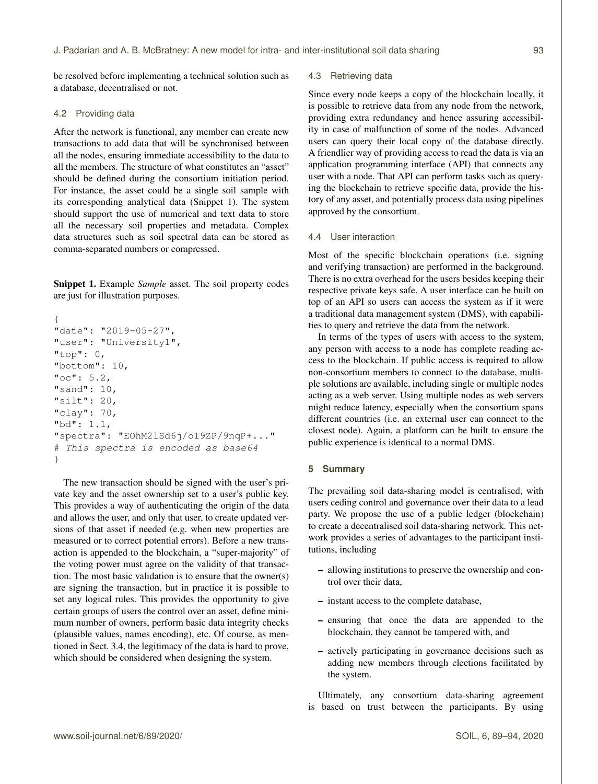be resolved before implementing a technical solution such as a database, decentralised or not.

# 4.2 Providing data

After the network is functional, any member can create new transactions to add data that will be synchronised between all the nodes, ensuring immediate accessibility to the data to all the members. The structure of what constitutes an "asset" should be defined during the consortium initiation period. For instance, the asset could be a single soil sample with its corresponding analytical data (Snippet 1). The system should support the use of numerical and text data to store all the necessary soil properties and metadata. Complex data structures such as soil spectral data can be stored as comma-separated numbers or compressed.

Snippet 1. Example *Sample* asset. The soil property codes are just for illustration purposes.

```
{
"date": "2019-05-27",
"user": "University1",
"top": 0,"bottom": 10,
"oc": 5.2,"sand": 10,
"silt": 20,
"clay": 70,
"bd": 1.1,
"spectra": "EOhM2lSd6j/o19ZP/9nqP+..."
# This spectra is encoded as base64
}
```
The new transaction should be signed with the user's private key and the asset ownership set to a user's public key. This provides a way of authenticating the origin of the data and allows the user, and only that user, to create updated versions of that asset if needed (e.g. when new properties are measured or to correct potential errors). Before a new transaction is appended to the blockchain, a "super-majority" of the voting power must agree on the validity of that transaction. The most basic validation is to ensure that the owner(s) are signing the transaction, but in practice it is possible to set any logical rules. This provides the opportunity to give certain groups of users the control over an asset, define minimum number of owners, perform basic data integrity checks (plausible values, names encoding), etc. Of course, as mentioned in Sect. [3.4,](#page-3-0) the legitimacy of the data is hard to prove, which should be considered when designing the system.

# 4.3 Retrieving data

Since every node keeps a copy of the blockchain locally, it is possible to retrieve data from any node from the network, providing extra redundancy and hence assuring accessibility in case of malfunction of some of the nodes. Advanced users can query their local copy of the database directly. A friendlier way of providing access to read the data is via an application programming interface (API) that connects any user with a node. That API can perform tasks such as querying the blockchain to retrieve specific data, provide the history of any asset, and potentially process data using pipelines approved by the consortium.

## 4.4 User interaction

Most of the specific blockchain operations (i.e. signing and verifying transaction) are performed in the background. There is no extra overhead for the users besides keeping their respective private keys safe. A user interface can be built on top of an API so users can access the system as if it were a traditional data management system (DMS), with capabilities to query and retrieve the data from the network.

In terms of the types of users with access to the system, any person with access to a node has complete reading access to the blockchain. If public access is required to allow non-consortium members to connect to the database, multiple solutions are available, including single or multiple nodes acting as a web server. Using multiple nodes as web servers might reduce latency, especially when the consortium spans different countries (i.e. an external user can connect to the closest node). Again, a platform can be built to ensure the public experience is identical to a normal DMS.

# **5 Summary**

The prevailing soil data-sharing model is centralised, with users ceding control and governance over their data to a lead party. We propose the use of a public ledger (blockchain) to create a decentralised soil data-sharing network. This network provides a series of advantages to the participant institutions, including

- allowing institutions to preserve the ownership and control over their data,
- instant access to the complete database,
- ensuring that once the data are appended to the blockchain, they cannot be tampered with, and
- actively participating in governance decisions such as adding new members through elections facilitated by the system.

Ultimately, any consortium data-sharing agreement is based on trust between the participants. By using